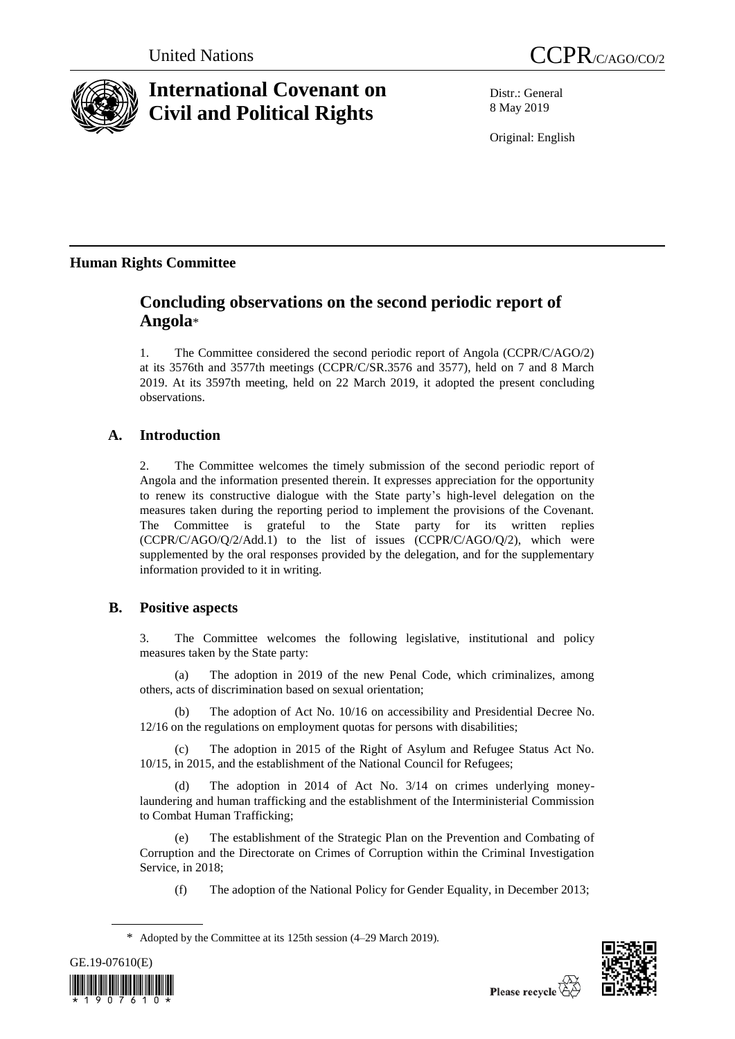

# **International Covenant on Civil and Political Rights**

Distr.: General 8 May 2019

Original: English

## **Human Rights Committee**

## **Concluding observations on the second periodic report of Angola**\*

1. The Committee considered the second periodic report of Angola (CCPR/C/AGO/2) at its 3576th and 3577th meetings (CCPR/C/SR.3576 and 3577), held on 7 and 8 March 2019. At its 3597th meeting, held on 22 March 2019, it adopted the present concluding observations.

## **A. Introduction**

2. The Committee welcomes the timely submission of the second periodic report of Angola and the information presented therein. It expresses appreciation for the opportunity to renew its constructive dialogue with the State party's high-level delegation on the measures taken during the reporting period to implement the provisions of the Covenant. The Committee is grateful to the State party for its written replies (CCPR/C/AGO/Q/2/Add.1) to the list of issues (CCPR/C/AGO/Q/2), which were supplemented by the oral responses provided by the delegation, and for the supplementary information provided to it in writing.

## **B. Positive aspects**

3. The Committee welcomes the following legislative, institutional and policy measures taken by the State party:

(a) The adoption in 2019 of the new Penal Code, which criminalizes, among others, acts of discrimination based on sexual orientation;

(b) The adoption of Act No. 10/16 on accessibility and Presidential Decree No. 12/16 on the regulations on employment quotas for persons with disabilities;

(c) The adoption in 2015 of the Right of Asylum and Refugee Status Act No. 10/15, in 2015, and the establishment of the National Council for Refugees;

The adoption in 2014 of Act No. 3/14 on crimes underlying moneylaundering and human trafficking and the establishment of the Interministerial Commission to Combat Human Trafficking;

(e) The establishment of the Strategic Plan on the Prevention and Combating of Corruption and the Directorate on Crimes of Corruption within the Criminal Investigation Service, in 2018;

(f) The adoption of the National Policy for Gender Equality, in December 2013;

<sup>\*</sup> Adopted by the Committee at its 125th session (4–29 March 2019).



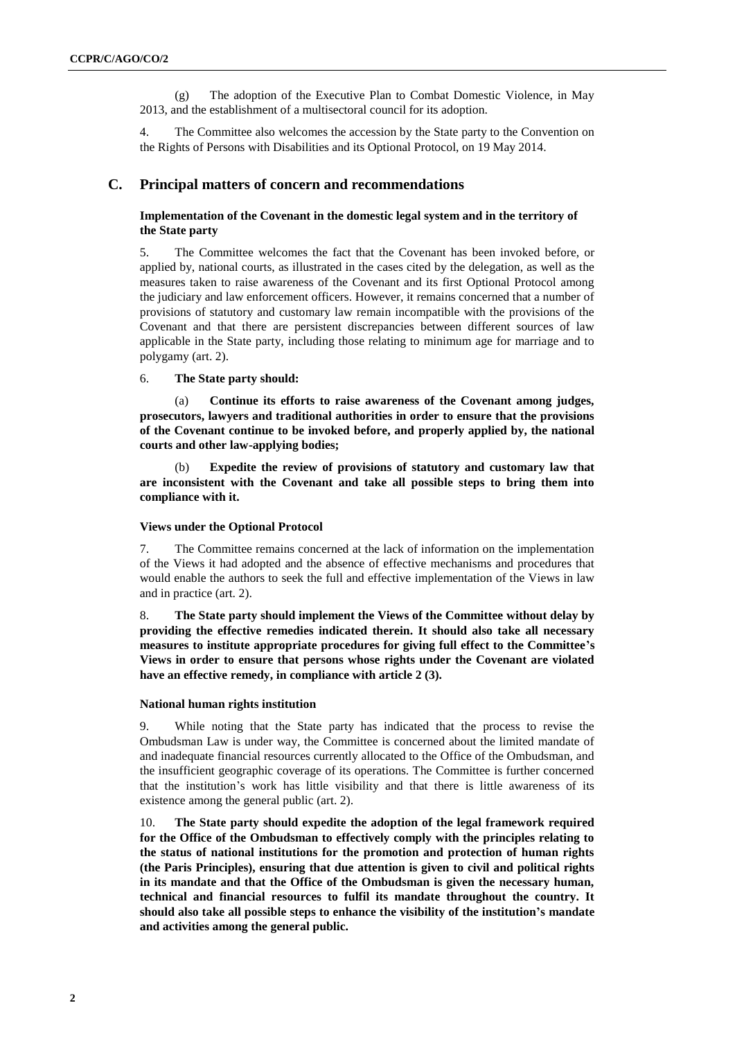(g) The adoption of the Executive Plan to Combat Domestic Violence, in May 2013, and the establishment of a multisectoral council for its adoption.

4. The Committee also welcomes the accession by the State party to the Convention on the Rights of Persons with Disabilities and its Optional Protocol, on 19 May 2014.

### **C. Principal matters of concern and recommendations**

### **Implementation of the Covenant in the domestic legal system and in the territory of the State party**

5. The Committee welcomes the fact that the Covenant has been invoked before, or applied by, national courts, as illustrated in the cases cited by the delegation, as well as the measures taken to raise awareness of the Covenant and its first Optional Protocol among the judiciary and law enforcement officers. However, it remains concerned that a number of provisions of statutory and customary law remain incompatible with the provisions of the Covenant and that there are persistent discrepancies between different sources of law applicable in the State party, including those relating to minimum age for marriage and to polygamy (art. 2).

#### 6. **The State party should:**

(a) **Continue its efforts to raise awareness of the Covenant among judges, prosecutors, lawyers and traditional authorities in order to ensure that the provisions of the Covenant continue to be invoked before, and properly applied by, the national courts and other law-applying bodies;**

Expedite the review of provisions of statutory and customary law that **are inconsistent with the Covenant and take all possible steps to bring them into compliance with it.**

### **Views under the Optional Protocol**

7. The Committee remains concerned at the lack of information on the implementation of the Views it had adopted and the absence of effective mechanisms and procedures that would enable the authors to seek the full and effective implementation of the Views in law and in practice (art. 2).

8. **The State party should implement the Views of the Committee without delay by providing the effective remedies indicated therein. It should also take all necessary measures to institute appropriate procedures for giving full effect to the Committee's Views in order to ensure that persons whose rights under the Covenant are violated have an effective remedy, in compliance with article 2 (3).**

#### **National human rights institution**

9. While noting that the State party has indicated that the process to revise the Ombudsman Law is under way, the Committee is concerned about the limited mandate of and inadequate financial resources currently allocated to the Office of the Ombudsman, and the insufficient geographic coverage of its operations. The Committee is further concerned that the institution's work has little visibility and that there is little awareness of its existence among the general public (art. 2).

10. **The State party should expedite the adoption of the legal framework required for the Office of the Ombudsman to effectively comply with the principles relating to the status of national institutions for the promotion and protection of human rights (the Paris Principles), ensuring that due attention is given to civil and political rights in its mandate and that the Office of the Ombudsman is given the necessary human, technical and financial resources to fulfil its mandate throughout the country. It should also take all possible steps to enhance the visibility of the institution's mandate and activities among the general public.**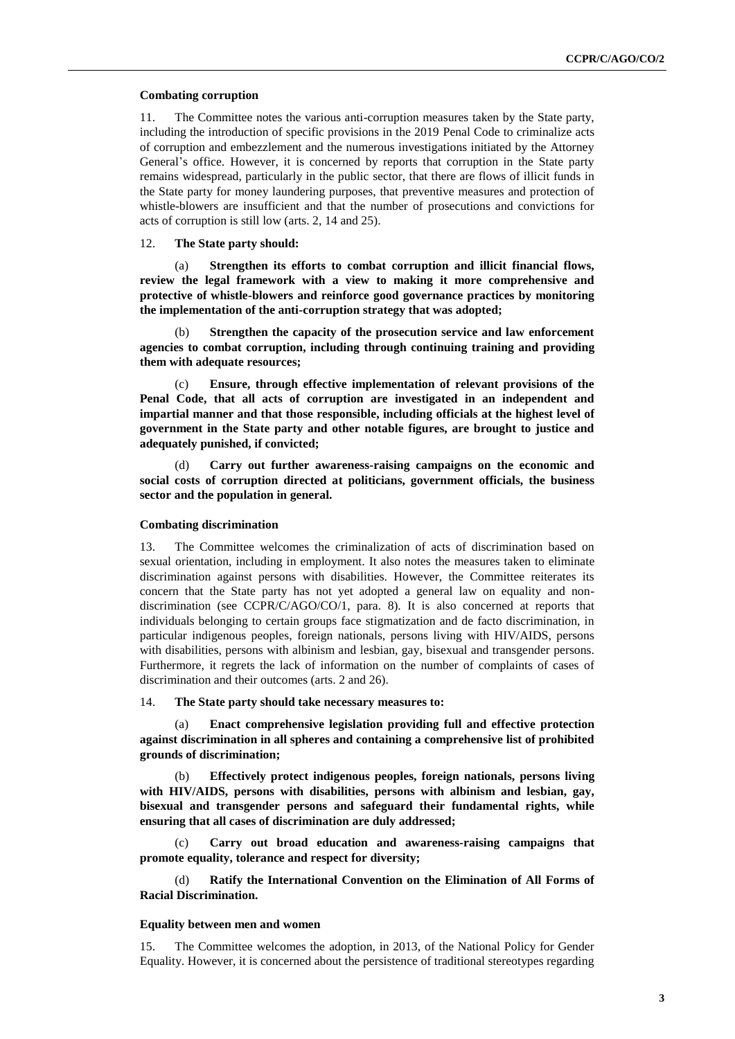#### **Combating corruption**

11. The Committee notes the various anti-corruption measures taken by the State party, including the introduction of specific provisions in the 2019 Penal Code to criminalize acts of corruption and embezzlement and the numerous investigations initiated by the Attorney General's office. However, it is concerned by reports that corruption in the State party remains widespread, particularly in the public sector, that there are flows of illicit funds in the State party for money laundering purposes, that preventive measures and protection of whistle-blowers are insufficient and that the number of prosecutions and convictions for acts of corruption is still low (arts. 2, 14 and 25).

#### 12. **The State party should:**

(a) **Strengthen its efforts to combat corruption and illicit financial flows, review the legal framework with a view to making it more comprehensive and protective of whistle-blowers and reinforce good governance practices by monitoring the implementation of the anti-corruption strategy that was adopted;** 

(b) **Strengthen the capacity of the prosecution service and law enforcement agencies to combat corruption, including through continuing training and providing them with adequate resources;** 

Ensure, through effective implementation of relevant provisions of the **Penal Code, that all acts of corruption are investigated in an independent and impartial manner and that those responsible, including officials at the highest level of government in the State party and other notable figures, are brought to justice and adequately punished, if convicted;**

(d) **Carry out further awareness-raising campaigns on the economic and social costs of corruption directed at politicians, government officials, the business sector and the population in general.**

#### **Combating discrimination**

13. The Committee welcomes the criminalization of acts of discrimination based on sexual orientation, including in employment. It also notes the measures taken to eliminate discrimination against persons with disabilities. However, the Committee reiterates its concern that the State party has not yet adopted a general law on equality and nondiscrimination (see CCPR/C/AGO/CO/1, para. 8). It is also concerned at reports that individuals belonging to certain groups face stigmatization and de facto discrimination, in particular indigenous peoples, foreign nationals, persons living with HIV/AIDS, persons with disabilities, persons with albinism and lesbian, gay, bisexual and transgender persons. Furthermore, it regrets the lack of information on the number of complaints of cases of discrimination and their outcomes (arts. 2 and 26).

14. **The State party should take necessary measures to:** 

(a) **Enact comprehensive legislation providing full and effective protection against discrimination in all spheres and containing a comprehensive list of prohibited grounds of discrimination;**

(b) **Effectively protect indigenous peoples, foreign nationals, persons living with HIV/AIDS, persons with disabilities, persons with albinism and lesbian, gay, bisexual and transgender persons and safeguard their fundamental rights, while ensuring that all cases of discrimination are duly addressed;**

(c) **Carry out broad education and awareness-raising campaigns that promote equality, tolerance and respect for diversity;**

(d) **Ratify the International Convention on the Elimination of All Forms of Racial Discrimination.**

#### **Equality between men and women**

15. The Committee welcomes the adoption, in 2013, of the National Policy for Gender Equality. However, it is concerned about the persistence of traditional stereotypes regarding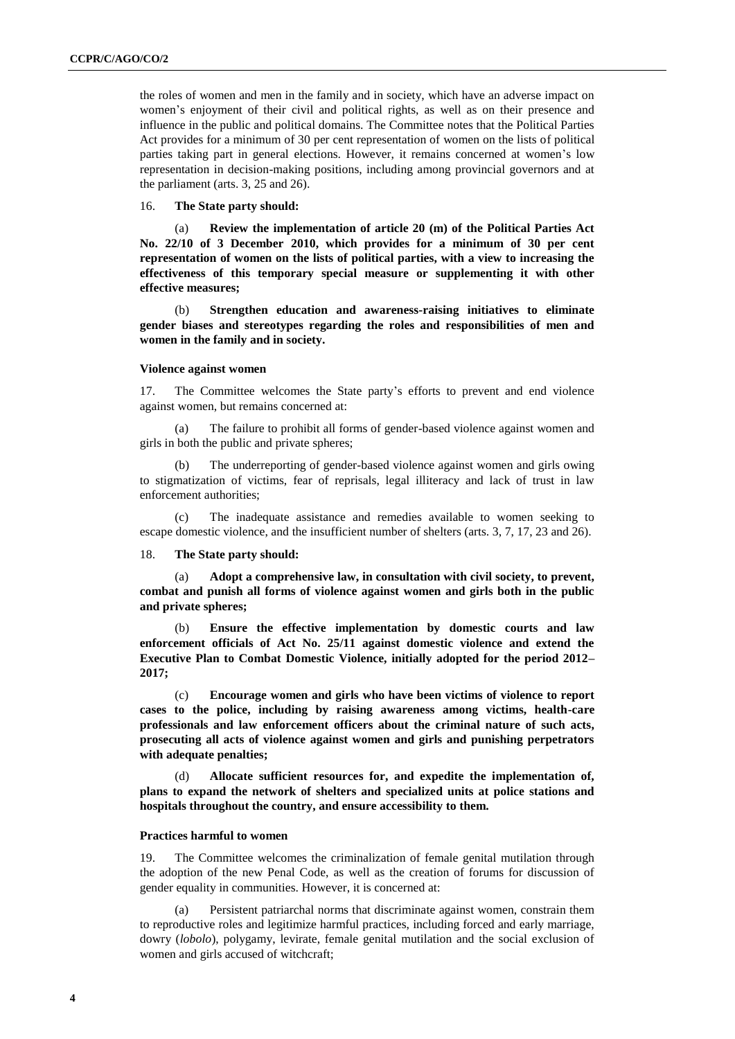the roles of women and men in the family and in society, which have an adverse impact on women's enjoyment of their civil and political rights, as well as on their presence and influence in the public and political domains. The Committee notes that the Political Parties Act provides for a minimum of 30 per cent representation of women on the lists of political parties taking part in general elections. However, it remains concerned at women's low representation in decision-making positions, including among provincial governors and at the parliament (arts. 3, 25 and 26).

16. **The State party should:**

(a) **Review the implementation of article 20 (m) of the Political Parties Act No. 22/10 of 3 December 2010, which provides for a minimum of 30 per cent representation of women on the lists of political parties, with a view to increasing the effectiveness of this temporary special measure or supplementing it with other effective measures;**

(b) **Strengthen education and awareness-raising initiatives to eliminate gender biases and stereotypes regarding the roles and responsibilities of men and women in the family and in society.**

#### **Violence against women**

17. The Committee welcomes the State party's efforts to prevent and end violence against women, but remains concerned at:

(a) The failure to prohibit all forms of gender-based violence against women and girls in both the public and private spheres;

The underreporting of gender-based violence against women and girls owing to stigmatization of victims, fear of reprisals, legal illiteracy and lack of trust in law enforcement authorities;

(c) The inadequate assistance and remedies available to women seeking to escape domestic violence, and the insufficient number of shelters (arts. 3, 7, 17, 23 and 26).

18. **The State party should:** 

(a) **Adopt a comprehensive law, in consultation with civil society, to prevent, combat and punish all forms of violence against women and girls both in the public and private spheres;**

(b) **Ensure the effective implementation by domestic courts and law enforcement officials of Act No. 25/11 against domestic violence and extend the Executive Plan to Combat Domestic Violence, initially adopted for the period 2012– 2017;**

(c) **Encourage women and girls who have been victims of violence to report cases to the police, including by raising awareness among victims, health-care professionals and law enforcement officers about the criminal nature of such acts, prosecuting all acts of violence against women and girls and punishing perpetrators with adequate penalties;**

(d) **Allocate sufficient resources for, and expedite the implementation of, plans to expand the network of shelters and specialized units at police stations and hospitals throughout the country, and ensure accessibility to them.**

#### **Practices harmful to women**

19. The Committee welcomes the criminalization of female genital mutilation through the adoption of the new Penal Code, as well as the creation of forums for discussion of gender equality in communities. However, it is concerned at:

Persistent patriarchal norms that discriminate against women, constrain them to reproductive roles and legitimize harmful practices, including forced and early marriage, dowry (*lobolo*), polygamy, levirate, female genital mutilation and the social exclusion of women and girls accused of witchcraft;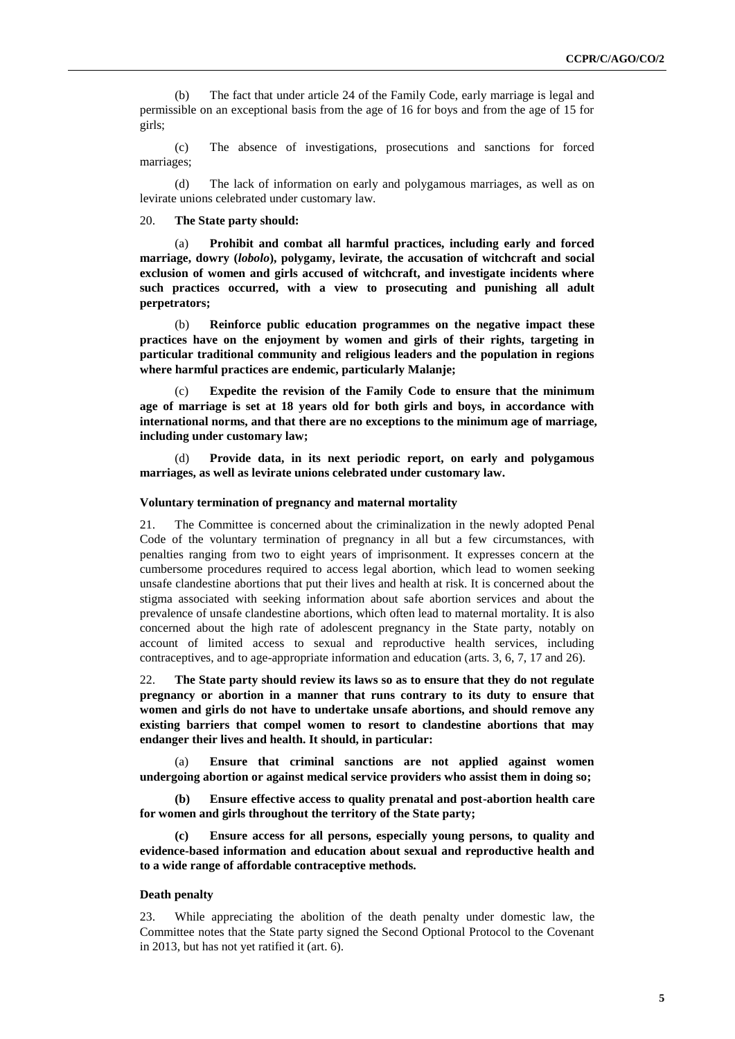(b) The fact that under article 24 of the Family Code, early marriage is legal and permissible on an exceptional basis from the age of 16 for boys and from the age of 15 for girls;

(c) The absence of investigations, prosecutions and sanctions for forced marriages;

(d) The lack of information on early and polygamous marriages, as well as on levirate unions celebrated under customary law.

#### 20. **The State party should:**

(a) **Prohibit and combat all harmful practices, including early and forced marriage, dowry (***lobolo***), polygamy, levirate, the accusation of witchcraft and social exclusion of women and girls accused of witchcraft, and investigate incidents where such practices occurred, with a view to prosecuting and punishing all adult perpetrators;**

(b) **Reinforce public education programmes on the negative impact these practices have on the enjoyment by women and girls of their rights, targeting in particular traditional community and religious leaders and the population in regions where harmful practices are endemic, particularly Malanje;**

(c) **Expedite the revision of the Family Code to ensure that the minimum age of marriage is set at 18 years old for both girls and boys, in accordance with international norms, and that there are no exceptions to the minimum age of marriage, including under customary law;**

(d) **Provide data, in its next periodic report, on early and polygamous marriages, as well as levirate unions celebrated under customary law.**

#### **Voluntary termination of pregnancy and maternal mortality**

21. The Committee is concerned about the criminalization in the newly adopted Penal Code of the voluntary termination of pregnancy in all but a few circumstances, with penalties ranging from two to eight years of imprisonment. It expresses concern at the cumbersome procedures required to access legal abortion, which lead to women seeking unsafe clandestine abortions that put their lives and health at risk. It is concerned about the stigma associated with seeking information about safe abortion services and about the prevalence of unsafe clandestine abortions, which often lead to maternal mortality. It is also concerned about the high rate of adolescent pregnancy in the State party, notably on account of limited access to sexual and reproductive health services, including contraceptives, and to age-appropriate information and education (arts. 3, 6, 7, 17 and 26).

22. **The State party should review its laws so as to ensure that they do not regulate pregnancy or abortion in a manner that runs contrary to its duty to ensure that women and girls do not have to undertake unsafe abortions, and should remove any existing barriers that compel women to resort to clandestine abortions that may endanger their lives and health. It should, in particular:** 

(a) **Ensure that criminal sanctions are not applied against women undergoing abortion or against medical service providers who assist them in doing so;** 

**(b) Ensure effective access to quality prenatal and post-abortion health care for women and girls throughout the territory of the State party;**

**(c) Ensure access for all persons, especially young persons, to quality and evidence-based information and education about sexual and reproductive health and to a wide range of affordable contraceptive methods.**

#### **Death penalty**

23. While appreciating the abolition of the death penalty under domestic law, the Committee notes that the State party signed the Second Optional Protocol to the Covenant in 2013, but has not yet ratified it (art. 6).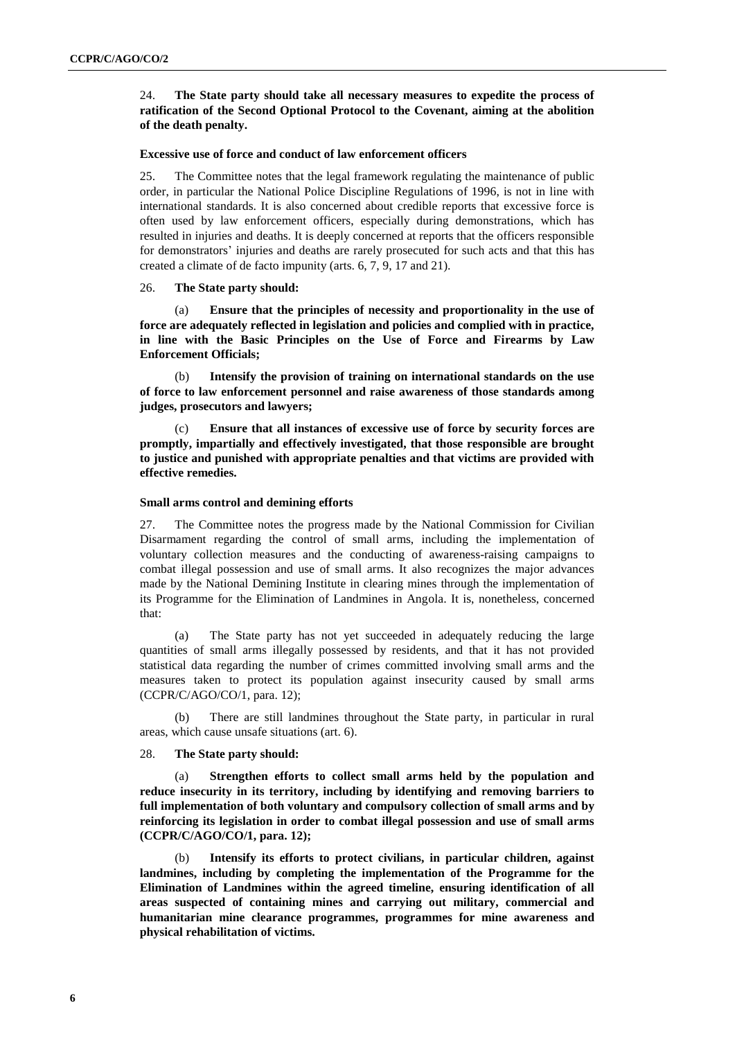24. **The State party should take all necessary measures to expedite the process of ratification of the Second Optional Protocol to the Covenant, aiming at the abolition of the death penalty.**

#### **Excessive use of force and conduct of law enforcement officers**

25. The Committee notes that the legal framework regulating the maintenance of public order, in particular the National Police Discipline Regulations of 1996, is not in line with international standards. It is also concerned about credible reports that excessive force is often used by law enforcement officers, especially during demonstrations, which has resulted in injuries and deaths. It is deeply concerned at reports that the officers responsible for demonstrators' injuries and deaths are rarely prosecuted for such acts and that this has created a climate of de facto impunity (arts. 6, 7, 9, 17 and 21).

#### 26. **The State party should:**

(a) **Ensure that the principles of necessity and proportionality in the use of force are adequately reflected in legislation and policies and complied with in practice, in line with the Basic Principles on the Use of Force and Firearms by Law Enforcement Officials;** 

(b) **Intensify the provision of training on international standards on the use of force to law enforcement personnel and raise awareness of those standards among judges, prosecutors and lawyers;** 

(c) **Ensure that all instances of excessive use of force by security forces are promptly, impartially and effectively investigated, that those responsible are brought to justice and punished with appropriate penalties and that victims are provided with effective remedies.** 

#### **Small arms control and demining efforts**

27. The Committee notes the progress made by the National Commission for Civilian Disarmament regarding the control of small arms, including the implementation of voluntary collection measures and the conducting of awareness-raising campaigns to combat illegal possession and use of small arms. It also recognizes the major advances made by the National Demining Institute in clearing mines through the implementation of its Programme for the Elimination of Landmines in Angola. It is, nonetheless, concerned that:

(a) The State party has not yet succeeded in adequately reducing the large quantities of small arms illegally possessed by residents, and that it has not provided statistical data regarding the number of crimes committed involving small arms and the measures taken to protect its population against insecurity caused by small arms (CCPR/C/AGO/CO/1, para. 12);

(b) There are still landmines throughout the State party, in particular in rural areas, which cause unsafe situations (art. 6).

#### 28. **The State party should:**

(a) **Strengthen efforts to collect small arms held by the population and reduce insecurity in its territory, including by identifying and removing barriers to full implementation of both voluntary and compulsory collection of small arms and by reinforcing its legislation in order to combat illegal possession and use of small arms (CCPR/C/AGO/CO/1, para. 12);**

Intensify its efforts to protect civilians, in particular children, against **landmines, including by completing the implementation of the Programme for the Elimination of Landmines within the agreed timeline, ensuring identification of all areas suspected of containing mines and carrying out military, commercial and humanitarian mine clearance programmes, programmes for mine awareness and physical rehabilitation of victims.**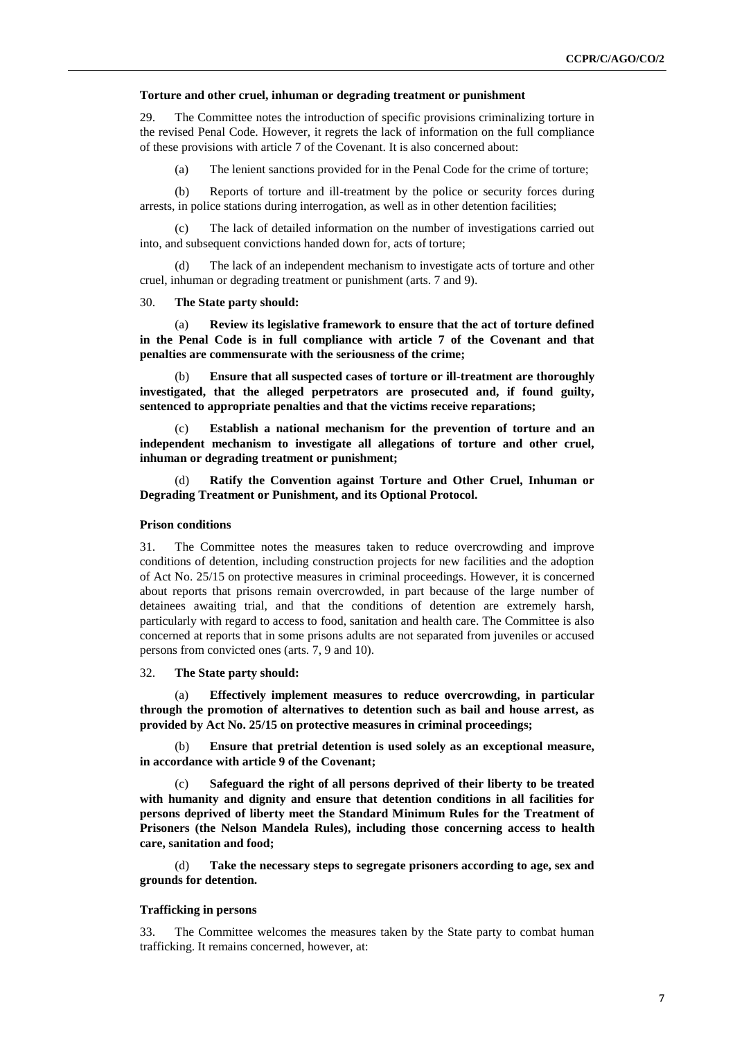#### **Torture and other cruel, inhuman or degrading treatment or punishment**

29. The Committee notes the introduction of specific provisions criminalizing torture in the revised Penal Code. However, it regrets the lack of information on the full compliance of these provisions with article 7 of the Covenant. It is also concerned about:

(a) The lenient sanctions provided for in the Penal Code for the crime of torture;

(b) Reports of torture and ill-treatment by the police or security forces during arrests, in police stations during interrogation, as well as in other detention facilities;

The lack of detailed information on the number of investigations carried out into, and subsequent convictions handed down for, acts of torture;

(d) The lack of an independent mechanism to investigate acts of torture and other cruel, inhuman or degrading treatment or punishment (arts. 7 and 9).

#### 30. **The State party should:**

Review its legislative framework to ensure that the act of torture defined **in the Penal Code is in full compliance with article 7 of the Covenant and that penalties are commensurate with the seriousness of the crime;** 

(b) **Ensure that all suspected cases of torture or ill-treatment are thoroughly investigated, that the alleged perpetrators are prosecuted and, if found guilty, sentenced to appropriate penalties and that the victims receive reparations;** 

(c) **Establish a national mechanism for the prevention of torture and an independent mechanism to investigate all allegations of torture and other cruel, inhuman or degrading treatment or punishment;**

(d) **Ratify the Convention against Torture and Other Cruel, Inhuman or Degrading Treatment or Punishment, and its Optional Protocol.**

#### **Prison conditions**

31. The Committee notes the measures taken to reduce overcrowding and improve conditions of detention, including construction projects for new facilities and the adoption of Act No. 25/15 on protective measures in criminal proceedings. However, it is concerned about reports that prisons remain overcrowded, in part because of the large number of detainees awaiting trial, and that the conditions of detention are extremely harsh, particularly with regard to access to food, sanitation and health care. The Committee is also concerned at reports that in some prisons adults are not separated from juveniles or accused persons from convicted ones (arts. 7, 9 and 10).

32. **The State party should:**

(a) **Effectively implement measures to reduce overcrowding, in particular through the promotion of alternatives to detention such as bail and house arrest, as provided by Act No. 25/15 on protective measures in criminal proceedings;** 

(b) **Ensure that pretrial detention is used solely as an exceptional measure, in accordance with article 9 of the Covenant;** 

(c) **Safeguard the right of all persons deprived of their liberty to be treated with humanity and dignity and ensure that detention conditions in all facilities for persons deprived of liberty meet the Standard Minimum Rules for the Treatment of Prisoners (the Nelson Mandela Rules), including those concerning access to health care, sanitation and food;**

(d) **Take the necessary steps to segregate prisoners according to age, sex and grounds for detention.**

#### **Trafficking in persons**

33. The Committee welcomes the measures taken by the State party to combat human trafficking. It remains concerned, however, at: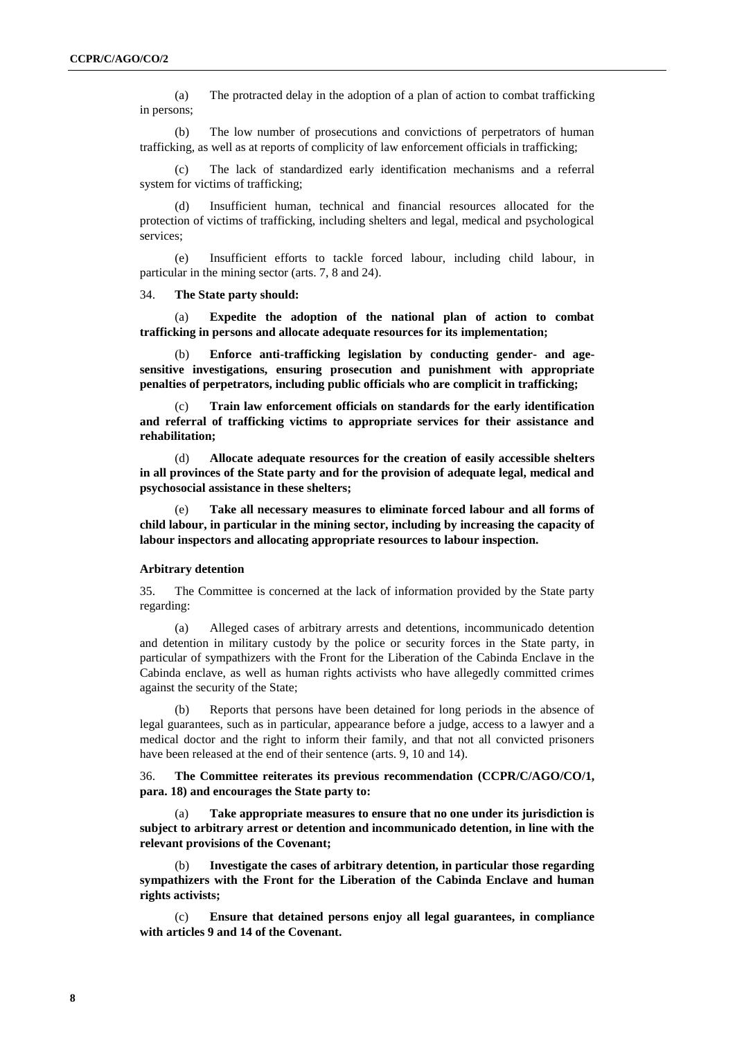(a) The protracted delay in the adoption of a plan of action to combat trafficking in persons;

(b) The low number of prosecutions and convictions of perpetrators of human trafficking, as well as at reports of complicity of law enforcement officials in trafficking;

(c) The lack of standardized early identification mechanisms and a referral system for victims of trafficking;

(d) Insufficient human, technical and financial resources allocated for the protection of victims of trafficking, including shelters and legal, medical and psychological services;

(e) Insufficient efforts to tackle forced labour, including child labour, in particular in the mining sector (arts. 7, 8 and 24).

34. **The State party should:** 

(a) **Expedite the adoption of the national plan of action to combat trafficking in persons and allocate adequate resources for its implementation;**

(b) **Enforce anti-trafficking legislation by conducting gender- and agesensitive investigations, ensuring prosecution and punishment with appropriate penalties of perpetrators, including public officials who are complicit in trafficking;**

(c) **Train law enforcement officials on standards for the early identification and referral of trafficking victims to appropriate services for their assistance and rehabilitation;**

(d) **Allocate adequate resources for the creation of easily accessible shelters in all provinces of the State party and for the provision of adequate legal, medical and psychosocial assistance in these shelters;**

(e) **Take all necessary measures to eliminate forced labour and all forms of child labour, in particular in the mining sector, including by increasing the capacity of labour inspectors and allocating appropriate resources to labour inspection.**

#### **Arbitrary detention**

35. The Committee is concerned at the lack of information provided by the State party regarding:

(a) Alleged cases of arbitrary arrests and detentions, incommunicado detention and detention in military custody by the police or security forces in the State party, in particular of sympathizers with the Front for the Liberation of the Cabinda Enclave in the Cabinda enclave, as well as human rights activists who have allegedly committed crimes against the security of the State;

(b) Reports that persons have been detained for long periods in the absence of legal guarantees, such as in particular, appearance before a judge, access to a lawyer and a medical doctor and the right to inform their family, and that not all convicted prisoners have been released at the end of their sentence (arts. 9, 10 and 14).

36. **The Committee reiterates its previous recommendation (CCPR/C/AGO/CO/1, para. 18) and encourages the State party to:**

(a) **Take appropriate measures to ensure that no one under its jurisdiction is subject to arbitrary arrest or detention and incommunicado detention, in line with the relevant provisions of the Covenant;** 

(b) **Investigate the cases of arbitrary detention, in particular those regarding sympathizers with the Front for the Liberation of the Cabinda Enclave and human rights activists;**

(c) **Ensure that detained persons enjoy all legal guarantees, in compliance with articles 9 and 14 of the Covenant.**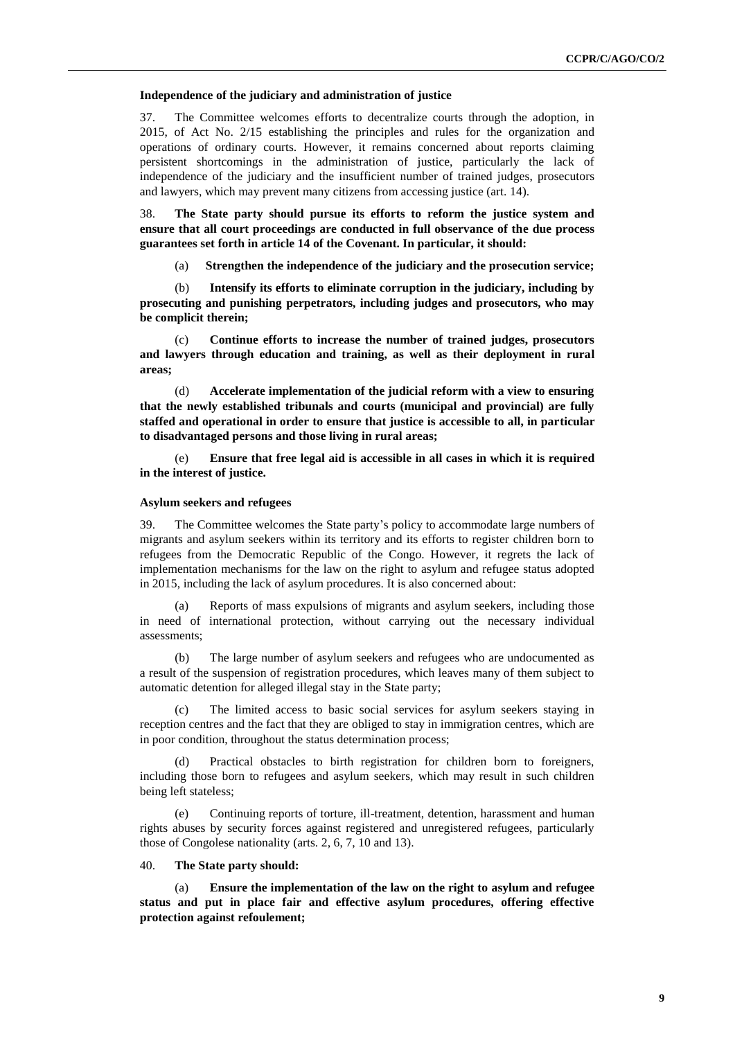#### **Independence of the judiciary and administration of justice**

37. The Committee welcomes efforts to decentralize courts through the adoption, in 2015, of Act No. 2/15 establishing the principles and rules for the organization and operations of ordinary courts. However, it remains concerned about reports claiming persistent shortcomings in the administration of justice, particularly the lack of independence of the judiciary and the insufficient number of trained judges, prosecutors and lawyers, which may prevent many citizens from accessing justice (art. 14).

38. **The State party should pursue its efforts to reform the justice system and ensure that all court proceedings are conducted in full observance of the due process guarantees set forth in article 14 of the Covenant. In particular, it should:**

(a) **Strengthen the independence of the judiciary and the prosecution service;**

(b) **Intensify its efforts to eliminate corruption in the judiciary, including by prosecuting and punishing perpetrators, including judges and prosecutors, who may be complicit therein;**

(c) **Continue efforts to increase the number of trained judges, prosecutors and lawyers through education and training, as well as their deployment in rural areas;**

(d) **Accelerate implementation of the judicial reform with a view to ensuring that the newly established tribunals and courts (municipal and provincial) are fully staffed and operational in order to ensure that justice is accessible to all, in particular to disadvantaged persons and those living in rural areas;**

(e) **Ensure that free legal aid is accessible in all cases in which it is required in the interest of justice.**

#### **Asylum seekers and refugees**

39. The Committee welcomes the State party's policy to accommodate large numbers of migrants and asylum seekers within its territory and its efforts to register children born to refugees from the Democratic Republic of the Congo. However, it regrets the lack of implementation mechanisms for the law on the right to asylum and refugee status adopted in 2015, including the lack of asylum procedures. It is also concerned about:

Reports of mass expulsions of migrants and asylum seekers, including those in need of international protection, without carrying out the necessary individual assessments;

(b) The large number of asylum seekers and refugees who are undocumented as a result of the suspension of registration procedures, which leaves many of them subject to automatic detention for alleged illegal stay in the State party;

(c) The limited access to basic social services for asylum seekers staying in reception centres and the fact that they are obliged to stay in immigration centres, which are in poor condition, throughout the status determination process;

(d) Practical obstacles to birth registration for children born to foreigners, including those born to refugees and asylum seekers, which may result in such children being left stateless;

(e) Continuing reports of torture, ill-treatment, detention, harassment and human rights abuses by security forces against registered and unregistered refugees, particularly those of Congolese nationality (arts. 2, 6, 7, 10 and 13).

#### 40. **The State party should:**

(a) **Ensure the implementation of the law on the right to asylum and refugee status and put in place fair and effective asylum procedures, offering effective protection against refoulement;**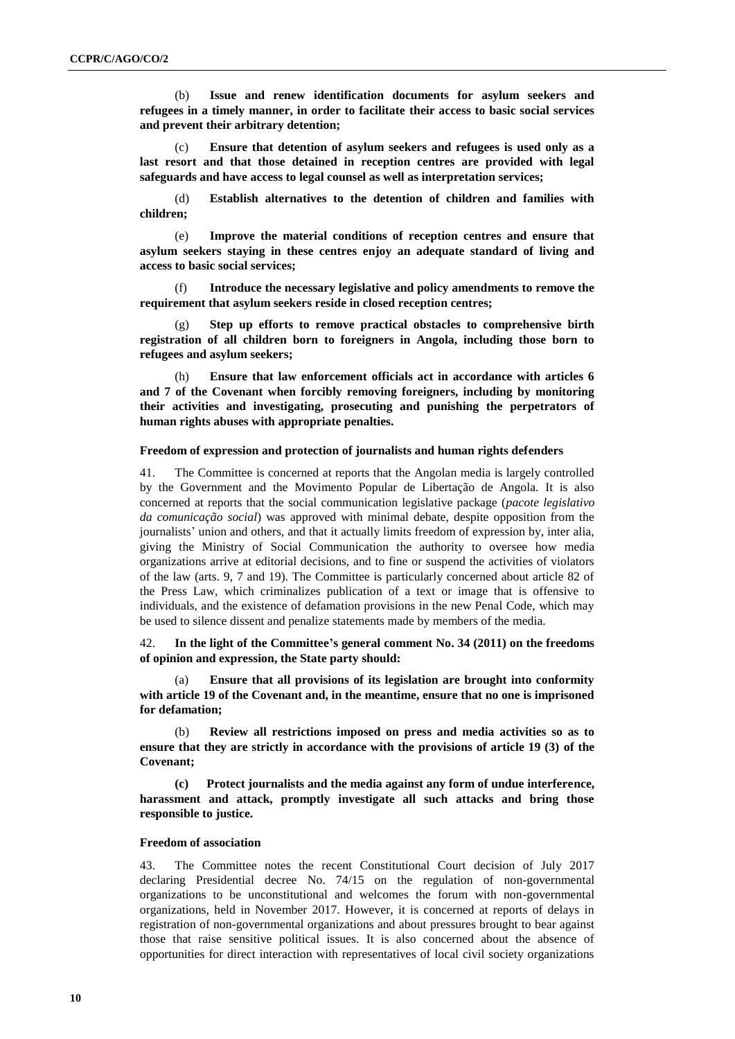(b) **Issue and renew identification documents for asylum seekers and refugees in a timely manner, in order to facilitate their access to basic social services and prevent their arbitrary detention;**

(c) **Ensure that detention of asylum seekers and refugees is used only as a last resort and that those detained in reception centres are provided with legal safeguards and have access to legal counsel as well as interpretation services;**

(d) **Establish alternatives to the detention of children and families with children;**

(e) **Improve the material conditions of reception centres and ensure that asylum seekers staying in these centres enjoy an adequate standard of living and access to basic social services;**

(f) **Introduce the necessary legislative and policy amendments to remove the requirement that asylum seekers reside in closed reception centres;**

Step up efforts to remove practical obstacles to comprehensive birth **registration of all children born to foreigners in Angola, including those born to refugees and asylum seekers;**

(h) **Ensure that law enforcement officials act in accordance with articles 6 and 7 of the Covenant when forcibly removing foreigners, including by monitoring their activities and investigating, prosecuting and punishing the perpetrators of human rights abuses with appropriate penalties.**

#### **Freedom of expression and protection of journalists and human rights defenders**

41. The Committee is concerned at reports that the Angolan media is largely controlled by the Government and the Movimento Popular de Libertação de Angola. It is also concerned at reports that the social communication legislative package (*pacote legislativo da comunicação social*) was approved with minimal debate, despite opposition from the journalists' union and others, and that it actually limits freedom of expression by, inter alia, giving the Ministry of Social Communication the authority to oversee how media organizations arrive at editorial decisions, and to fine or suspend the activities of violators of the law (arts. 9, 7 and 19). The Committee is particularly concerned about article 82 of the Press Law, which criminalizes publication of a text or image that is offensive to individuals, and the existence of defamation provisions in the new Penal Code, which may be used to silence dissent and penalize statements made by members of the media.

42. **In the light of the Committee's general comment No. 34 (2011) on the freedoms of opinion and expression, the State party should:** 

(a) **Ensure that all provisions of its legislation are brought into conformity with article 19 of the Covenant and, in the meantime, ensure that no one is imprisoned for defamation;** 

(b) **Review all restrictions imposed on press and media activities so as to ensure that they are strictly in accordance with the provisions of article 19 (3) of the Covenant;**

**(c) Protect journalists and the media against any form of undue interference, harassment and attack, promptly investigate all such attacks and bring those responsible to justice.**

#### **Freedom of association**

43. The Committee notes the recent Constitutional Court decision of July 2017 declaring Presidential decree No. 74/15 on the regulation of non-governmental organizations to be unconstitutional and welcomes the forum with non-governmental organizations, held in November 2017. However, it is concerned at reports of delays in registration of non-governmental organizations and about pressures brought to bear against those that raise sensitive political issues. It is also concerned about the absence of opportunities for direct interaction with representatives of local civil society organizations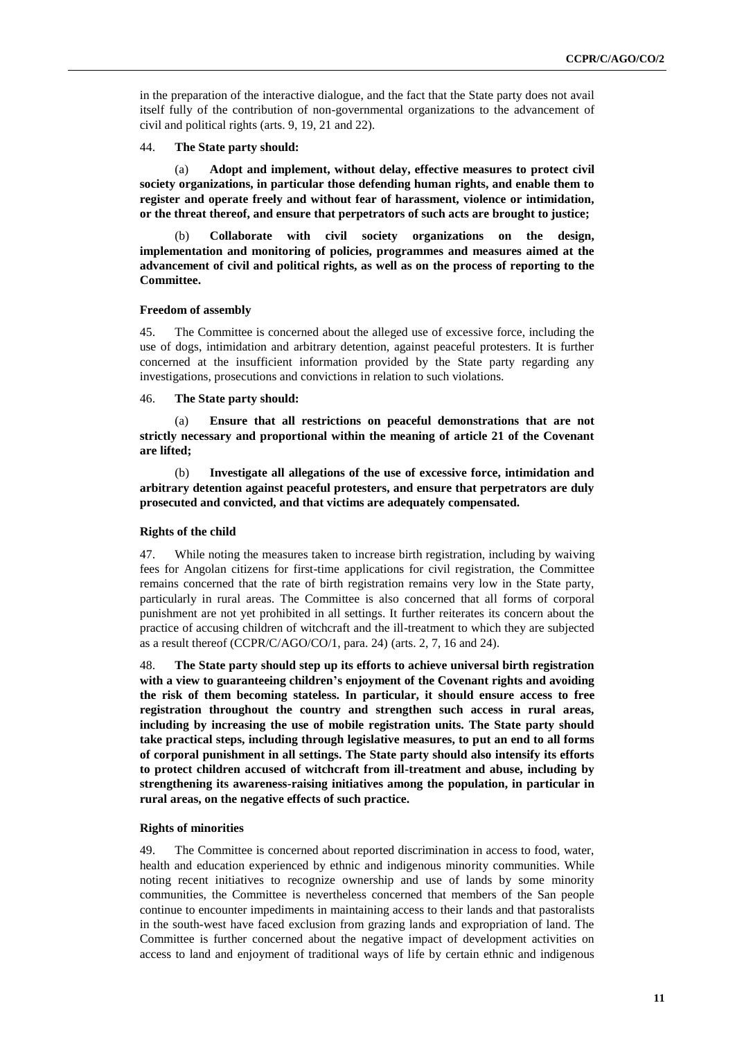in the preparation of the interactive dialogue, and the fact that the State party does not avail itself fully of the contribution of non-governmental organizations to the advancement of civil and political rights (arts. 9, 19, 21 and 22).

44. **The State party should:** 

Adopt and implement, without delay, effective measures to protect civil **society organizations, in particular those defending human rights, and enable them to register and operate freely and without fear of harassment, violence or intimidation, or the threat thereof, and ensure that perpetrators of such acts are brought to justice;**

(b) **Collaborate with civil society organizations on the design, implementation and monitoring of policies, programmes and measures aimed at the advancement of civil and political rights, as well as on the process of reporting to the Committee.**

#### **Freedom of assembly**

45. The Committee is concerned about the alleged use of excessive force, including the use of dogs, intimidation and arbitrary detention, against peaceful protesters. It is further concerned at the insufficient information provided by the State party regarding any investigations, prosecutions and convictions in relation to such violations.

46. **The State party should:**

(a) **Ensure that all restrictions on peaceful demonstrations that are not strictly necessary and proportional within the meaning of article 21 of the Covenant are lifted;** 

(b) **Investigate all allegations of the use of excessive force, intimidation and arbitrary detention against peaceful protesters, and ensure that perpetrators are duly prosecuted and convicted, and that victims are adequately compensated.**

#### **Rights of the child**

47. While noting the measures taken to increase birth registration, including by waiving fees for Angolan citizens for first-time applications for civil registration, the Committee remains concerned that the rate of birth registration remains very low in the State party, particularly in rural areas. The Committee is also concerned that all forms of corporal punishment are not yet prohibited in all settings. It further reiterates its concern about the practice of accusing children of witchcraft and the ill-treatment to which they are subjected as a result thereof (CCPR/C/AGO/CO/1, para. 24) (arts. 2, 7, 16 and 24).

48. **The State party should step up its efforts to achieve universal birth registration with a view to guaranteeing children's enjoyment of the Covenant rights and avoiding the risk of them becoming stateless. In particular, it should ensure access to free registration throughout the country and strengthen such access in rural areas, including by increasing the use of mobile registration units. The State party should take practical steps, including through legislative measures, to put an end to all forms of corporal punishment in all settings. The State party should also intensify its efforts to protect children accused of witchcraft from ill-treatment and abuse, including by strengthening its awareness-raising initiatives among the population, in particular in rural areas, on the negative effects of such practice.**

#### **Rights of minorities**

49. The Committee is concerned about reported discrimination in access to food, water, health and education experienced by ethnic and indigenous minority communities. While noting recent initiatives to recognize ownership and use of lands by some minority communities, the Committee is nevertheless concerned that members of the San people continue to encounter impediments in maintaining access to their lands and that pastoralists in the south-west have faced exclusion from grazing lands and expropriation of land. The Committee is further concerned about the negative impact of development activities on access to land and enjoyment of traditional ways of life by certain ethnic and indigenous